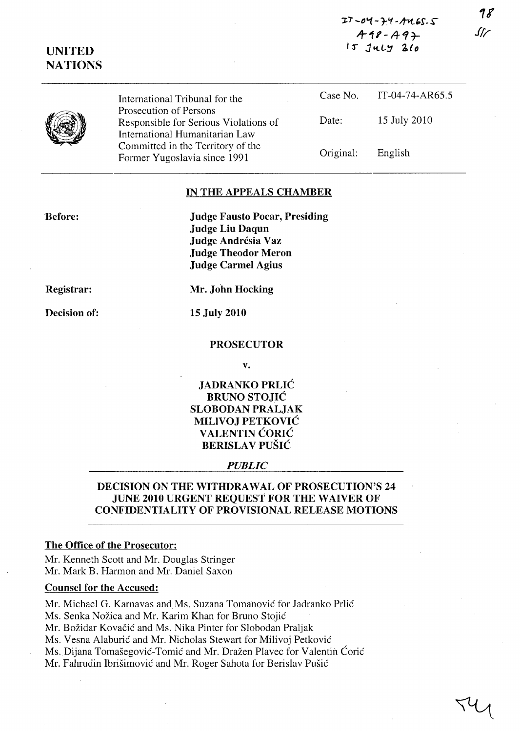| $27 - 04 - 74 - 4465 - 5$ |  |
|---------------------------|--|
| $A18 - A9 +$              |  |
| $15$ $JULY$ $20$          |  |

| UNITED  |
|---------|
| NATIONS |

International Tribunal for the Prosecution of Persons Responsible for Serious Violations of International Humanitarian Law Committed in the Territory of the Former Yugoslavia since 1991

Case No. Date: Original: IT-04-74-AR65.5 15 July 2010 English

## IN THE APPEALS CHAMBER

'Before:

Judge Fausto Pocar, Presiding Judge Liu Daqun Judge Andrésia Vaz Judge Theodor Meron Judge Carmel Agius

Registrar:

Decision of:

15 July 2010

PROSECUTOR

Mr. John Hocking

v.

JADRANKO PRLIC BRUNO STOJIC SLOBODAN PRALJAK MILlVOJ PETKOVIC VALENTIN CORIC BERISLAV PUŠIĆ

### *PUBLIC*

# DECISION ON THE WITHDRAWAL OF PROSECUTION'S 24 JUNE 2010 URGENT REQUEST FOR THE WAIVER OF CONFIDENTIALITY OF PROVISIONAL RELEASE MOTIONS

## The Office of the Prosecutor:

Mr. Kenneth Scott and Mr. Douglas Stringer Mr. Mark B. Harmon and Mr. Daniel Saxon

### Counsel for the Accused:

Mr. Michael G. Karnavas and Ms. Suzana Tomanović for Jadranko Prlić

Ms. Senka Nožica and Mr. Karim Khan for Bruno Stojić

Mr. Božidar Kovačić and Ms. Nika Pinter for Slobodan Praljak

Ms. Vesna Alaburić and Mr. Nicholas Stewart for Milivoj Petković

Ms. Dijana Tomašegović-Tomić and Mr. Dražen Plavec for Valentin Ćorić

Mr. Fahrudin Ibrišimović and Mr. Roger Sahota for Berislav Pušić